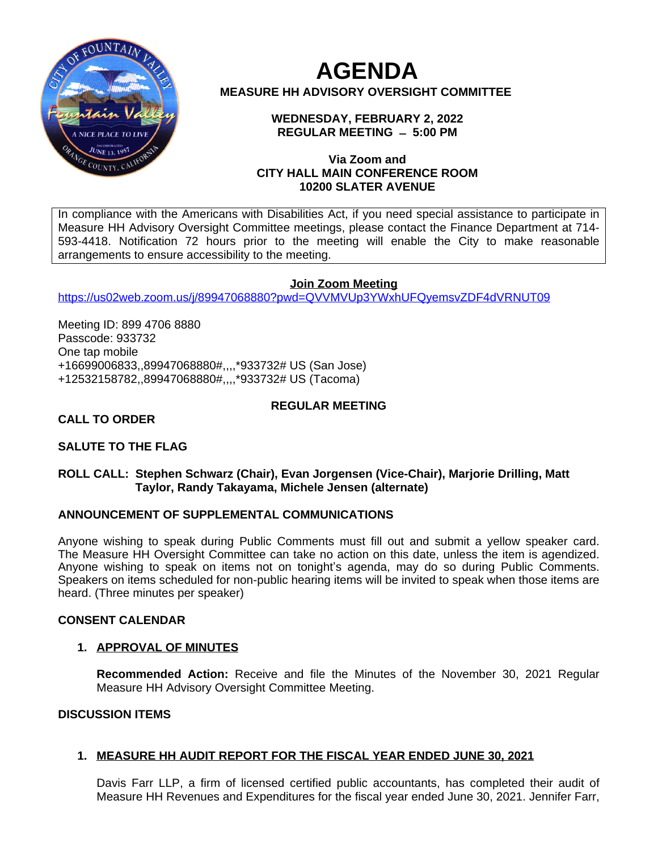

# **AGENDA MEASURE HH ADVISORY OVERSIGHT COMMITTEE**

### **WEDNESDAY, FEBRUARY 2, 2022 REGULAR MEETING ̶ 5:00 PM**

### **Via Zoom and CITY HALL MAIN CONFERENCE ROOM 10200 SLATER AVENUE**

In compliance with the Americans with Disabilities Act, if you need special assistance to participate in Measure HH Advisory Oversight Committee meetings, please contact the Finance Department at 714- 593-4418. Notification 72 hours prior to the meeting will enable the City to make reasonable arrangements to ensure accessibility to the meeting.

# **Join Zoom Meeting**

<https://us02web.zoom.us/j/89947068880?pwd=QVVMVUp3YWxhUFQyemsvZDF4dVRNUT09>

Meeting ID: 899 4706 8880 Passcode: 933732 One tap mobile +16699006833,,89947068880#,,,,\*933732# US (San Jose) +12532158782,,89947068880#,,,,\*933732# US (Tacoma)

# **REGULAR MEETING**

# **CALL TO ORDER**

# **SALUTE TO THE FLAG**

### **ROLL CALL: Stephen Schwarz (Chair), Evan Jorgensen (Vice-Chair), Marjorie Drilling, Matt Taylor, Randy Takayama, Michele Jensen (alternate)**

### **ANNOUNCEMENT OF SUPPLEMENTAL COMMUNICATIONS**

Anyone wishing to speak during Public Comments must fill out and submit a yellow speaker card. The Measure HH Oversight Committee can take no action on this date, unless the item is agendized. Anyone wishing to speak on items not on tonight's agenda, may do so during Public Comments. Speakers on items scheduled for non-public hearing items will be invited to speak when those items are heard. (Three minutes per speaker)

### **CONSENT CALENDAR**

# **1. APPROVAL OF MINUTES**

**Recommended Action:** Receive and file the Minutes of the November 30, 2021 Regular Measure HH Advisory Oversight Committee Meeting.

### **DISCUSSION ITEMS**

# **1. MEASURE HH AUDIT REPORT FOR THE FISCAL YEAR ENDED JUNE 30, 2021**

Davis Farr LLP, a firm of licensed certified public accountants, has completed their audit of Measure HH Revenues and Expenditures for the fiscal year ended June 30, 2021. Jennifer Farr,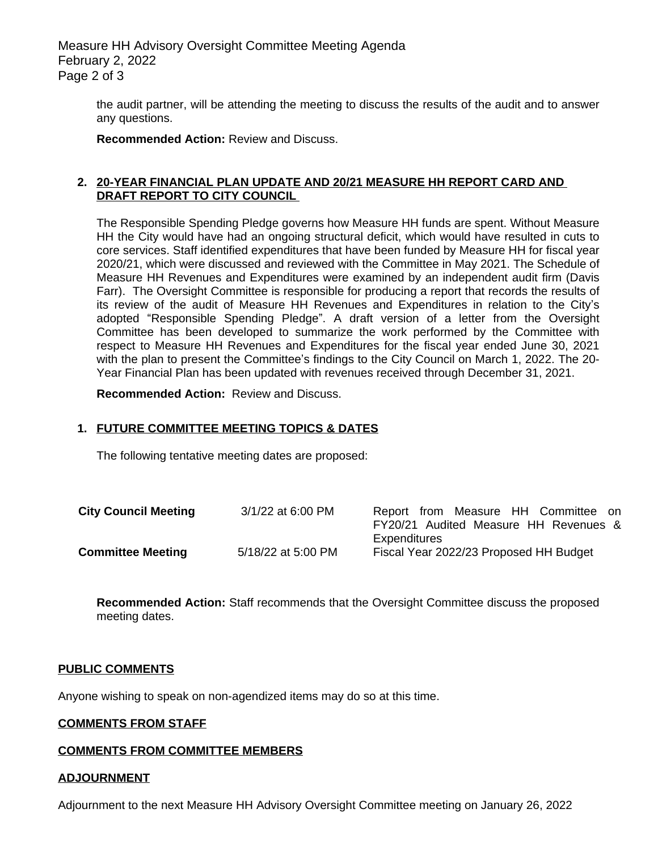Measure HH Advisory Oversight Committee Meeting Agenda February 2, 2022 Page 2 of 3

> the audit partner, will be attending the meeting to discuss the results of the audit and to answer any questions.

**Recommended Action:** Review and Discuss.

#### **2. 20-YEAR FINANCIAL PLAN UPDATE AND 20/21 MEASURE HH REPORT CARD AND DRAFT REPORT TO CITY COUNCIL**

The Responsible Spending Pledge governs how Measure HH funds are spent. Without Measure HH the City would have had an ongoing structural deficit, which would have resulted in cuts to core services. Staff identified expenditures that have been funded by Measure HH for fiscal year 2020/21, which were discussed and reviewed with the Committee in May 2021. The Schedule of Measure HH Revenues and Expenditures were examined by an independent audit firm (Davis Farr). The Oversight Committee is responsible for producing a report that records the results of its review of the audit of Measure HH Revenues and Expenditures in relation to the City's adopted "Responsible Spending Pledge". A draft version of a letter from the Oversight Committee has been developed to summarize the work performed by the Committee with respect to Measure HH Revenues and Expenditures for the fiscal year ended June 30, 2021 with the plan to present the Committee's findings to the City Council on March 1, 2022. The 20- Year Financial Plan has been updated with revenues received through December 31, 2021.

**Recommended Action:** Review and Discuss.

### **1. FUTURE COMMITTEE MEETING TOPICS & DATES**

The following tentative meeting dates are proposed:

| <b>City Council Meeting</b> | 3/1/22 at 6:00 PM  | Report from Measure HH Committee on    |
|-----------------------------|--------------------|----------------------------------------|
|                             |                    | FY20/21 Audited Measure HH Revenues &  |
|                             |                    | Expenditures                           |
| <b>Committee Meeting</b>    | 5/18/22 at 5:00 PM | Fiscal Year 2022/23 Proposed HH Budget |

**Recommended Action:** Staff recommends that the Oversight Committee discuss the proposed meeting dates.

#### **PUBLIC COMMENTS**

Anyone wishing to speak on non-agendized items may do so at this time.

#### **COMMENTS FROM STAFF**

#### **COMMENTS FROM COMMITTEE MEMBERS**

#### **ADJOURNMENT**

Adjournment to the next Measure HH Advisory Oversight Committee meeting on January 26, 2022